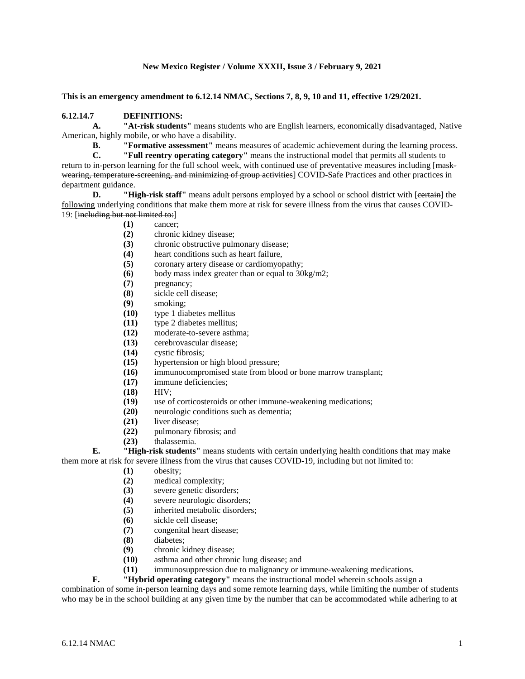### **New Mexico Register / Volume XXXII, Issue 3 / February 9, 2021**

**This is an emergency amendment to 6.12.14 NMAC, Sections 7, 8, 9, 10 and 11, effective 1/29/2021.**

#### **6.12.14.7 DEFINITIONS:**

**A. "At-risk students"** means students who are English learners, economically disadvantaged, Native American, highly mobile, or who have a disability.

**B. "Formative assessment"** means measures of academic achievement during the learning process.

**C. "Full reentry operating category"** means the instructional model that permits all students to return to in-person learning for the full school week, with continued use of preventative measures including [<del>mask-</del> wearing, temperature-screening, and minimizing of group activities] COVID-Safe Practices and other practices in department guidance.<br>D. "Hi

**P. High-risk staff**" means adult persons employed by a school or school district with [extrain] the following underlying conditions that make them more at risk for severe illness from the virus that causes COVID-19: [including but not limited to:]

- **(1)** cancer;
- **(2)** chronic kidney disease;
- (3) chronic obstructive pulmonary disease;<br>(4) heart conditions such as heart failure.
- heart conditions such as heart failure.
- **(5)** coronary artery disease or cardiomyopathy;
- **(6)** body mass index greater than or equal to 30kg/m2;
- **(7)** pregnancy;
- **(8)** sickle cell disease;
- **(9)** smoking;
- **(10)** type 1 diabetes mellitus
- **(11)** type 2 diabetes mellitus;
- **(12)** moderate-to-severe asthma;
- **(13)** cerebrovascular disease;
- **(14)** cystic fibrosis;
- **(15)** hypertension or high blood pressure;<br>**(16)** immunocompromised state from bloo
- immunocompromised state from blood or bone marrow transplant;
- **(17)** immune deficiencies;
- **(18)** HIV;
- **(19)** use of corticosteroids or other immune-weakening medications;
- **(20)** neurologic conditions such as dementia;
- **(21)** liver disease;
- **(22)** pulmonary fibrosis; and
- **(23)** thalassemia.

**E. "High-risk students"** means students with certain underlying health conditions that may make them more at risk for severe illness from the virus that causes COVID-19, including but not limited to:

- **(1)** obesity;
- **(2)** medical complexity;
- **(3)** severe genetic disorders;
- **(4)** severe neurologic disorders;
- **(5)** inherited metabolic disorders;
- **(6)** sickle cell disease;
- **(7)** congenital heart disease;
- **(8)** diabetes;
- **(9)** chronic kidney disease;
- **(10)** asthma and other chronic lung disease; and
- **(11)** immunosuppression due to malignancy or immune-weakening medications.

**F. "Hybrid operating category"** means the instructional model wherein schools assign a

combination of some in-person learning days and some remote learning days, while limiting the number of students who may be in the school building at any given time by the number that can be accommodated while adhering to at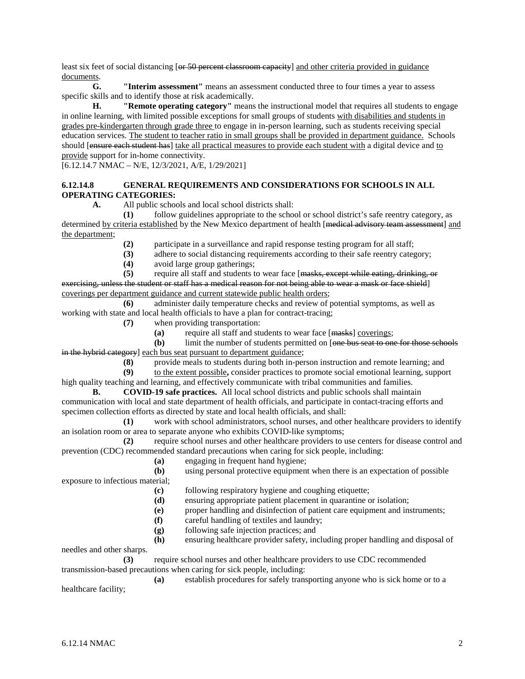least six feet of social distancing [or 50 percent classroom capacity] and other criteria provided in guidance documents.

**G. "Interim assessment"** means an assessment conducted three to four times a year to assess specific skills and to identify those at risk academically.

**H. "Remote operating category"** means the instructional model that requires all students to engage in online learning, with limited possible exceptions for small groups of students with disabilities and students in grades pre-kindergarten through grade three to engage in in-person learning, such as students receiving special education services. The student to teacher ratio in small groups shall be provided in department guidance. Schools should [ensure each student has] take all practical measures to provide each student with a digital device and to provide support for in-home connectivity.

 $[6.12.14.7 \text{ NMAC} - \text{N/E}, 12/3/2021, \text{A/E}, 1/29/2021]$ 

### **6.12.14.8 GENERAL REQUIREMENTS AND CONSIDERATIONS FOR SCHOOLS IN ALL OPERATING CATEGORIES:**

**A.** All public schools and local school districts shall:

**(1)** follow guidelines appropriate to the school or school district's safe reentry category, as determined by criteria established by the New Mexico department of health [medical advisory team assessment] and the department;

(2) participate in a surveillance and rapid response testing program for all staff;<br>(3) adhere to social distancing requirements according to their safe reentry cates

- **(3)** adhere to social distancing requirements according to their safe reentry category;
- **(4)** avoid large group gatherings;

**(5)** require all staff and students to wear face [masks, except while eating, drinking, or exercising, unless the student or staff has a medical reason for not being able to wear a mask or face shield] coverings per department guidance and current statewide public health orders;

**(6)** administer daily temperature checks and review of potential symptoms, as well as working with state and local health officials to have a plan for contract-tracing;

- **(7)** when providing transportation:
	- **(a)** require all staff and students to wear face [masks] coverings;

**(b)** limit the number of students permitted on [one bus seat to one for those schools in the hybrid category] each bus seat pursuant to department guidance;

**(8)** provide meals to students during both in-person instruction and remote learning; and

**(9)** to the extent possible**,** consider practices to promote social emotional learning, support

high quality teaching and learning, and effectively communicate with tribal communities and families. **B. COVID-19 safe practices.** All local school districts and public schools shall maintain

communication with local and state department of health officials, and participate in contact-tracing efforts and specimen collection efforts as directed by state and local health officials, and shall:

**(1)** work with school administrators, school nurses, and other healthcare providers to identify an isolation room or area to separate anyone who exhibits COVID-like symptoms;

**(2)** require school nurses and other healthcare providers to use centers for disease control and prevention (CDC) recommended standard precautions when caring for sick people, including:

**(a)** engaging in frequent hand hygiene;

**(b)** using personal protective equipment when there is an expectation of possible exposure to infectious material;

**(c)** following respiratory hygiene and coughing etiquette;

- **(d)** ensuring appropriate patient placement in quarantine or isolation;
- **(e)** proper handling and disinfection of patient care equipment and instruments;
- **(f)** careful handling of textiles and laundry;
- **(g)** following safe injection practices; and
- **(h)** ensuring healthcare provider safety, including proper handling and disposal of

needles and other sharps.

**(3)** require school nurses and other healthcare providers to use CDC recommended transmission-based precautions when caring for sick people, including:

**(a)** establish procedures for safely transporting anyone who is sick home or to a healthcare facility;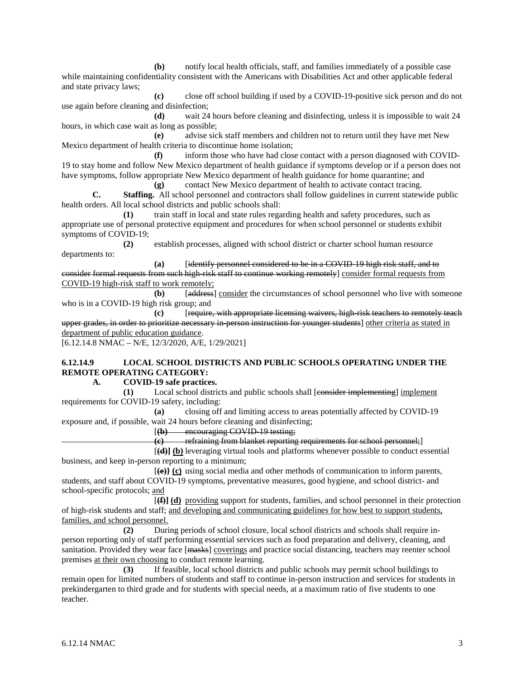**(b)** notify local health officials, staff, and families immediately of a possible case while maintaining confidentiality consistent with the Americans with Disabilities Act and other applicable federal and state privacy laws;

**(c)** close off school building if used by a COVID-19-positive sick person and do not use again before cleaning and disinfection;

**(d)** wait 24 hours before cleaning and disinfecting, unless it is impossible to wait 24 hours, in which case wait as long as possible;

**(e)** advise sick staff members and children not to return until they have met New Mexico department of health criteria to discontinue home isolation;

**(f)** inform those who have had close contact with a person diagnosed with COVID-19 to stay home and follow New Mexico department of health guidance if symptoms develop or if a person does not have symptoms, follow appropriate New Mexico department of health guidance for home quarantine; and **(g)** contact New Mexico department of health to activate contact tracing.

**C. Staffing.** All school personnel and contractors shall follow guidelines in current statewide public health orders. All local school districts and public schools shall:

**(1)** train staff in local and state rules regarding health and safety procedures, such as appropriate use of personal protective equipment and procedures for when school personnel or students exhibit symptoms of COVID-19;

**(2)** establish processes, aligned with school district or charter school human resource departments to:

**(a)** [identify personnel considered to be in a COVID-19 high risk staff, and to consider formal requests from such high-risk staff to continue working remotely] consider formal requests from COVID-19 high-risk staff to work remotely;

**(b)** [address] consider the circumstances of school personnel who live with someone who is in a COVID-19 high risk group; and

**(c)** [require, with appropriate licensing waivers, high-risk teachers to remotely teach upper grades, in order to prioritize necessary in person instruction for younger students] other criteria as stated in department of public education guidance.

[6.12.14.8 NMAC – N/E, 12/3/2020, A/E, 1/29/2021]

## **6.12.14.9 LOCAL SCHOOL DISTRICTS AND PUBLIC SCHOOLS OPERATING UNDER THE REMOTE OPERATING CATEGORY:**

#### **A. COVID-19 safe practices.**

**(1)** Local school districts and public schools shall [consider implementing] implement requirements for COVID-19 safety, including:

**(a)** closing off and limiting access to areas potentially affected by COVID-19 exposure and, if possible, wait 24 hours before cleaning and disinfecting;

[**(b)** encouraging COVID-19 testing;

**(c)** refraining from blanket reporting requirements for school personnel;]

[**(d)] (b)** leveraging virtual tools and platforms whenever possible to conduct essential business, and keep in-person reporting to a minimum;

[**(e)} (c)** using social media and other methods of communication to inform parents, students, and staff about COVID-19 symptoms, preventative measures, good hygiene, and school district- and school-specific protocols; and

[**(f)] (d)** providing support for students, families, and school personnel in their protection of high-risk students and staff; and developing and communicating guidelines for how best to support students, families, and school personnel.

**(2)** During periods of school closure, local school districts and schools shall require inperson reporting only of staff performing essential services such as food preparation and delivery, cleaning, and sanitation. Provided they wear face [masks] coverings and practice social distancing, teachers may reenter school premises at their own choosing to conduct remote learning.

**(3)** If feasible, local school districts and public schools may permit school buildings to remain open for limited numbers of students and staff to continue in-person instruction and services for students in prekindergarten to third grade and for students with special needs, at a maximum ratio of five students to one teacher.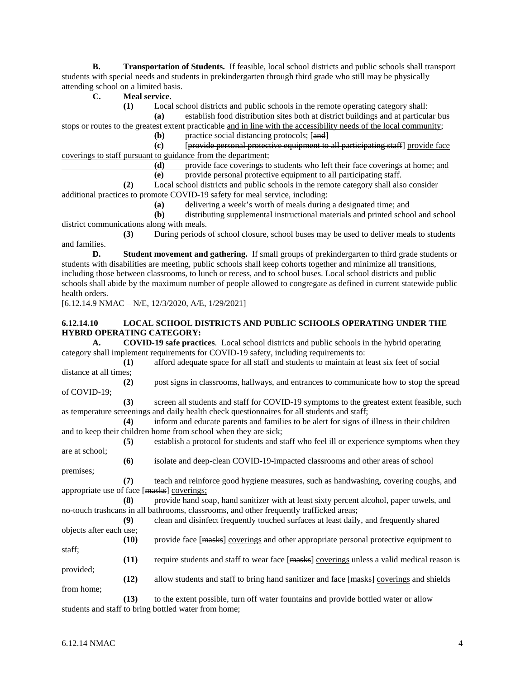**B. Transportation of Students.** If feasible, local school districts and public schools shall transport students with special needs and students in prekindergarten through third grade who still may be physically attending school on a limited basis.

**C. Meal service.**

**(1)** Local school districts and public schools in the remote operating category shall:

**(a)** establish food distribution sites both at district buildings and at particular bus stops or routes to the greatest extent practicable and in line with the accessibility needs of the local community;

**(b)** practice social distancing protocols; [and]

**(c)** [provide personal protective equipment to all participating staff] provide face coverings to staff pursuant to guidance from the department;

| (d) | provide face coverings to students who left their face coverings at home: and        |
|-----|--------------------------------------------------------------------------------------|
|     | provide personal protective equipment to all participating staff.                    |
|     | Local school districts and public schools in the remote category shall also consider |

additional practices to promote COVID-19 safety for meal service, including:

**(a)** delivering a week's worth of meals during a designated time; and

**(b)** distributing supplemental instructional materials and printed school and school district communications along with meals.

**(3)** During periods of school closure, school buses may be used to deliver meals to students and families.

**D. Student movement and gathering.** If small groups of prekindergarten to third grade students or students with disabilities are meeting, public schools shall keep cohorts together and minimize all transitions, including those between classrooms, to lunch or recess, and to school buses. Local school districts and public schools shall abide by the maximum number of people allowed to congregate as defined in current statewide public health orders.

[6.12.14.9 NMAC – N/E, 12/3/2020, A/E, 1/29/2021]

### **6.12.14.10 LOCAL SCHOOL DISTRICTS AND PUBLIC SCHOOLS OPERATING UNDER THE HYBRD OPERATING CATEGORY:**

**A. COVID-19 safe practices**. Local school districts and public schools in the hybrid operating category shall implement requirements for COVID-19 safety, including requirements to:

**(1)** afford adequate space for all staff and students to maintain at least six feet of social distance at all times;

**(2)** post signs in classrooms, hallways, and entrances to communicate how to stop the spread of COVID-19;

**(3)** screen all students and staff for COVID-19 symptoms to the greatest extent feasible, such as temperature screenings and daily health check questionnaires for all students and staff;

**(4)** inform and educate parents and families to be alert for signs of illness in their children and to keep their children home from school when they are sick;

**(5)** establish a protocol for students and staff who feel ill or experience symptoms when they are at school;

**(6)** isolate and deep-clean COVID-19-impacted classrooms and other areas of school premises;

**(7)** teach and reinforce good hygiene measures, such as handwashing, covering coughs, and appropriate use of face [masks] coverings;

**(8)** provide hand soap, hand sanitizer with at least sixty percent alcohol, paper towels, and no-touch trashcans in all bathrooms, classrooms, and other frequently trafficked areas;

**(9)** clean and disinfect frequently touched surfaces at least daily, and frequently shared objects after each use;

**(10)** provide face [masks] coverings and other appropriate personal protective equipment to staff;

**(11)** require students and staff to wear face [masks] coverings unless a valid medical reason is provided;

**(12)** allow students and staff to bring hand sanitizer and face [masks] coverings and shields from home;

**(13)** to the extent possible, turn off water fountains and provide bottled water or allow students and staff to bring bottled water from home;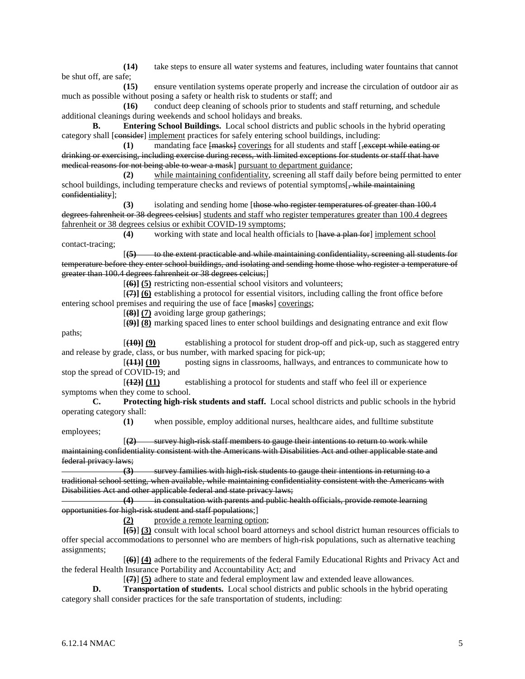**(14)** take steps to ensure all water systems and features, including water fountains that cannot be shut off, are safe;

**(15)** ensure ventilation systems operate properly and increase the circulation of outdoor air as much as possible without posing a safety or health risk to students or staff; and

**(16)** conduct deep cleaning of schools prior to students and staff returning, and schedule additional cleanings during weekends and school holidays and breaks.

**B. Entering School Buildings.** Local school districts and public schools in the hybrid operating category shall [consider] implement practices for safely entering school buildings, including:

**(1)** mandating face  ${$  masks} coverings for all students and staff  ${$ , except while eating or drinking or exercising, including exercise during recess, with limited exceptions for students or staff that have medical reasons for not being able to wear a mask] pursuant to department guidance;

**(2)** while maintaining confidentiality, screening all staff daily before being permitted to enter school buildings, including temperature checks and reviews of potential symptoms[, while maintaining confidentiality];

**(3)** isolating and sending home [those who register temperatures of greater than 100.4 degrees fahrenheit or 38 degrees celsius] students and staff who register temperatures greater than 100.4 degrees fahrenheit or 38 degrees celsius or exhibit COVID-19 symptoms;

**(4)** working with state and local health officials to [have a plan for] implement school contact-tracing;

[**(5)** to the extent practicable and while maintaining confidentiality, screening all students for temperature before they enter school buildings, and isolating and sending home those who register a temperature of greater than 100.4 degrees fahrenheit or 38 degrees celcius;]

[**(6)] (5)** restricting non-essential school visitors and volunteers;

[**(7)] (6)** establishing a protocol for essential visitors, including calling the front office before entering school premises and requiring the use of face [masks] coverings;

[**(8)] (7)** avoiding large group gatherings;

[**(9)] (8)** marking spaced lines to enter school buildings and designating entrance and exit flow paths;

[**(10)] (9)** establishing a protocol for student drop-off and pick-up, such as staggered entry and release by grade, class, or bus number, with marked spacing for pick-up;

[**(11)] (10)** posting signs in classrooms, hallways, and entrances to communicate how to stop the spread of COVID-19; and

[**(12)] (11)** establishing a protocol for students and staff who feel ill or experience symptoms when they come to school.

**C. Protecting high-risk students and staff.** Local school districts and public schools in the hybrid operating category shall:

**(1)** when possible, employ additional nurses, healthcare aides, and fulltime substitute employees;

[**(2)** survey high-risk staff members to gauge their intentions to return to work while maintaining confidentiality consistent with the Americans with Disabilities Act and other applicable state and federal privacy laws;

**(3)** survey families with high-risk students to gauge their intentions in returning to a traditional school setting, when available, while maintaining confidentiality consistent with the Americans with Disabilities Act and other applicable federal and state privacy laws;

**(4)** in consultation with parents and public health officials, provide remote learning opportunities for high-risk student and staff populations;]

**(2)** provide a remote learning option;

**[(5)**] **(3)** consult with local school board attorneys and school district human resources officials to offer special accommodations to personnel who are members of high-risk populations, such as alternative teaching assignments;

[**(6)**] **(4)** adhere to the requirements of the federal Family Educational Rights and Privacy Act and the federal Health Insurance Portability and Accountability Act; and

[**(7)**] **(5)** adhere to state and federal employment law and extended leave allowances.

**D. Transportation of students.** Local school districts and public schools in the hybrid operating category shall consider practices for the safe transportation of students, including: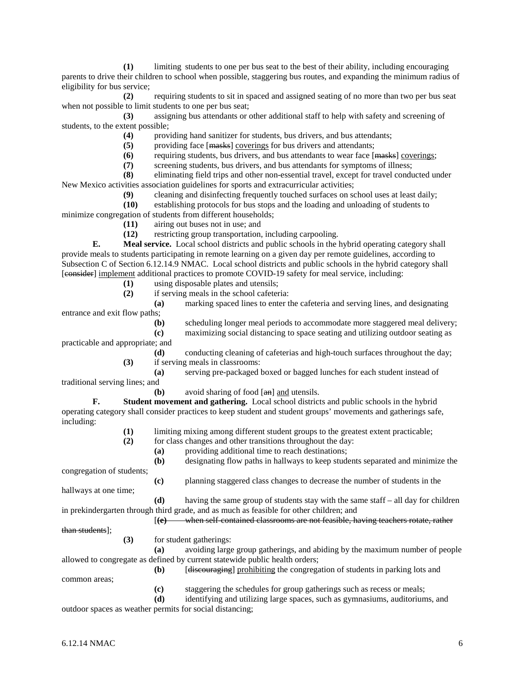**(1)** limiting students to one per bus seat to the best of their ability, including encouraging parents to drive their children to school when possible, staggering bus routes, and expanding the minimum radius of eligibility for bus service;

**(2)** requiring students to sit in spaced and assigned seating of no more than two per bus seat when not possible to limit students to one per bus seat;

**(3)** assigning bus attendants or other additional staff to help with safety and screening of students, to the extent possible;

**(4)** providing hand sanitizer for students, bus drivers, and bus attendants;

**(5)** providing face [masks] coverings for bus drivers and attendants;

**(6)** requiring students, bus drivers, and bus attendants to wear face [masks] coverings;

**(7)** screening students, bus drivers, and bus attendants for symptoms of illness;

**(8)** eliminating field trips and other non-essential travel, except for travel conducted under New Mexico activities association guidelines for sports and extracurricular activities;

**(9)** cleaning and disinfecting frequently touched surfaces on school uses at least daily;

**(10)** establishing protocols for bus stops and the loading and unloading of students to minimize congregation of students from different households;

**(11)** airing out buses not in use; and

**(12)** restricting group transportation, including carpooling.

**E. Meal service.** Local school districts and public schools in the hybrid operating category shall provide meals to students participating in remote learning on a given day per remote guidelines, according to Subsection C of Section 6.12.14.9 NMAC. Local school districts and public schools in the hybrid category shall [consider] implement additional practices to promote COVID-19 safety for meal service, including:

**(1)** using disposable plates and utensils;

**(2)** if serving meals in the school cafeteria:

**(a)** marking spaced lines to enter the cafeteria and serving lines, and designating entrance and exit flow paths;

**(b)** scheduling longer meal periods to accommodate more staggered meal delivery;

**(c)** maximizing social distancing to space seating and utilizing outdoor seating as

practicable and appropriate; and

**(d)** conducting cleaning of cafeterias and high-touch surfaces throughout the day; **(3)** if serving meals in classrooms:

**(a)** serving pre-packaged boxed or bagged lunches for each student instead of

traditional serving lines; and

**(b)** avoid sharing of food [an] and utensils.

**F. Student movement and gathering.** Local school districts and public schools in the hybrid operating category shall consider practices to keep student and student groups' movements and gatherings safe, including:

**(1)** limiting mixing among different student groups to the greatest extent practicable; **(2)** for class changes and other transitions throughout the day: **(a)** providing additional time to reach destinations; **(b)** designating flow paths in hallways to keep students separated and minimize the congregation of students;

**(c)** planning staggered class changes to decrease the number of students in the

hallways at one time;

**(d)** having the same group of students stay with the same staff – all day for children in prekindergarten through third grade, and as much as feasible for other children; and

[**(e)** when self-contained classrooms are not feasible, having teachers rotate, rather

than students];

common areas;

**(3)** for student gatherings:

**(a)** avoiding large group gatherings, and abiding by the maximum number of people allowed to congregate as defined by current statewide public health orders;

- **(b)** [discouraging] prohibiting the congregation of students in parking lots and
	- **(c)** staggering the schedules for group gatherings such as recess or meals;

**(d)** identifying and utilizing large spaces, such as gymnasiums, auditoriums, and outdoor spaces as weather permits for social distancing;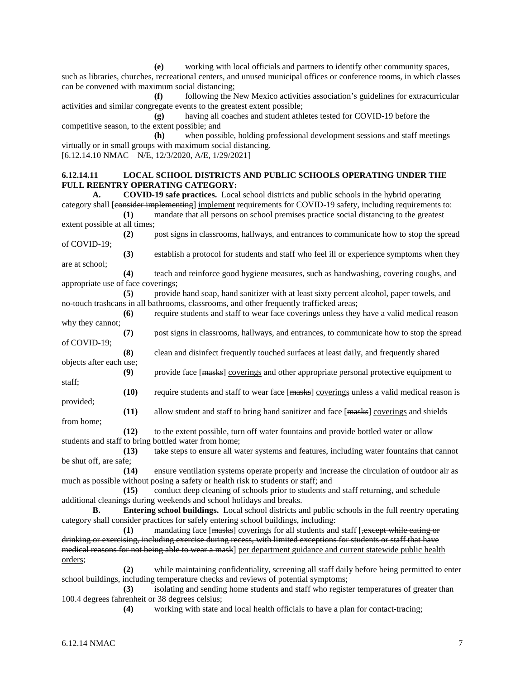**(e)** working with local officials and partners to identify other community spaces, such as libraries, churches, recreational centers, and unused municipal offices or conference rooms, in which classes can be convened with maximum social distancing;

**(f)** following the New Mexico activities association's guidelines for extracurricular activities and similar congregate events to the greatest extent possible;

**(g)** having all coaches and student athletes tested for COVID-19 before the competitive season, to the extent possible; and

**(h)** when possible, holding professional development sessions and staff meetings virtually or in small groups with maximum social distancing.  $[6.12.14.10 \text{ NMAC} - \text{N/E}, 12/3/2020, \text{A/E}, 1/29/2021]$ 

# **6.12.14.11 LOCAL SCHOOL DISTRICTS AND PUBLIC SCHOOLS OPERATING UNDER THE FULL REENTRY OPERATING CATEGORY:**

**A. COVID-19 safe practices.** Local school districts and public schools in the hybrid operating category shall [consider implementing] implement requirements for COVID-19 safety, including requirements to: **(1)** mandate that all persons on school premises practice social distancing to the greatest

extent possible at all times;

**(2)** post signs in classrooms, hallways, and entrances to communicate how to stop the spread of COVID-19;

**(3)** establish a protocol for students and staff who feel ill or experience symptoms when they are at school;

**(4)** teach and reinforce good hygiene measures, such as handwashing, covering coughs, and appropriate use of face coverings;

**(5)** provide hand soap, hand sanitizer with at least sixty percent alcohol, paper towels, and no-touch trashcans in all bathrooms, classrooms, and other frequently trafficked areas;

**(6)** require students and staff to wear face coverings unless they have a valid medical reason why they cannot;

**(7)** post signs in classrooms, hallways, and entrances, to communicate how to stop the spread of COVID-19;

**(8)** clean and disinfect frequently touched surfaces at least daily, and frequently shared objects after each use;

**(9)** provide face [masks] coverings and other appropriate personal protective equipment to staff;

**(10)** require students and staff to wear face [masks] coverings unless a valid medical reason is provided;

**(11)** allow student and staff to bring hand sanitizer and face [masks] coverings and shields from home;

**(12)** to the extent possible, turn off water fountains and provide bottled water or allow students and staff to bring bottled water from home;

**(13)** take steps to ensure all water systems and features, including water fountains that cannot be shut off, are safe;

**(14)** ensure ventilation systems operate properly and increase the circulation of outdoor air as much as possible without posing a safety or health risk to students or staff; and

**(15)** conduct deep cleaning of schools prior to students and staff returning, and schedule additional cleanings during weekends and school holidays and breaks.

**B. Entering school buildings.** Local school districts and public schools in the full reentry operating category shall consider practices for safely entering school buildings, including:

**(1)** mandating face [masks] coverings for all students and staff [, except while eating or drinking or exercising, including exercise during recess, with limited exceptions for students or staff that have medical reasons for not being able to wear a mask] per department guidance and current statewide public health orders;

**(2)** while maintaining confidentiality, screening all staff daily before being permitted to enter school buildings, including temperature checks and reviews of potential symptoms;

**(3)** isolating and sending home students and staff who register temperatures of greater than 100.4 degrees fahrenheit or 38 degrees celsius;

**(4)** working with state and local health officials to have a plan for contact-tracing;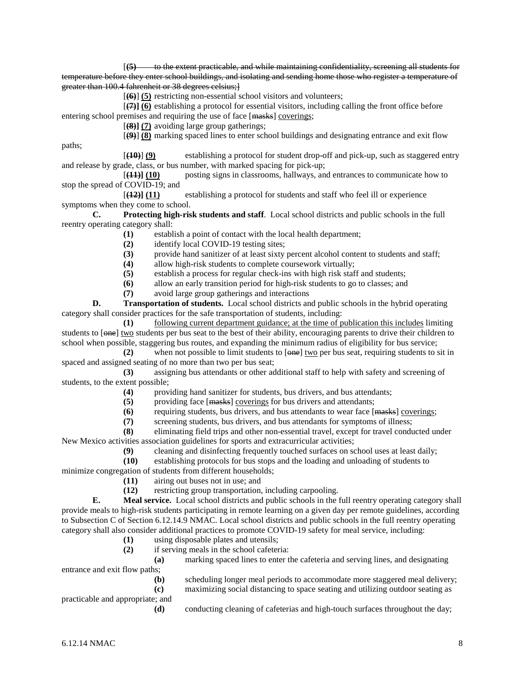[**(5)** to the extent practicable, and while maintaining confidentiality, screening all students for temperature before they enter school buildings, and isolating and sending home those who register a temperature of greater than 100.4 fahrenheit or 38 degrees celsius;]

[**(6)**] **(5)** restricting non-essential school visitors and volunteers;

[**(7)] (6)** establishing a protocol for essential visitors, including calling the front office before entering school premises and requiring the use of face [masks] coverings;

[**(8)] (7)** avoiding large group gatherings;

[**(9)**] **(8)** marking spaced lines to enter school buildings and designating entrance and exit flow

[**(10)**] **(9)** establishing a protocol for student drop-off and pick-up, such as staggered entry and release by grade, class, or bus number, with marked spacing for pick-up;

[**(11)] (10)** posting signs in classrooms, hallways, and entrances to communicate how to stop the spread of COVID-19; and

[**(12)] (11)** establishing a protocol for students and staff who feel ill or experience symptoms when they come to school.

**C. Protecting high-risk students and staff**. Local school districts and public schools in the full reentry operating category shall:

**(1)** establish a point of contact with the local health department;

- (2) identify local COVID-19 testing sites;<br>(3) provide hand sanitizer of at least sixty
- **(3)** provide hand sanitizer of at least sixty percent alcohol content to students and staff;
- **(4)** allow high-risk students to complete coursework virtually;
- **(5)** establish a process for regular check-ins with high risk staff and students;
- **(6)** allow an early transition period for high-risk students to go to classes; and
- **(7)** avoid large group gatherings and interactions

**D. Transportation of students.** Local school districts and public schools in the hybrid operating category shall consider practices for the safe transportation of students, including:

**(1)** following current department guidance; at the time of publication this includes limiting students to [one] two students per bus seat to the best of their ability, encouraging parents to drive their children to school when possible, staggering bus routes, and expanding the minimum radius of eligibility for bus service;

**(2)** when not possible to limit students to [one] two per bus seat, requiring students to sit in spaced and assigned seating of no more than two per bus seat;<br>(3) assigning bus attendants or other ad

**(3)** assigning bus attendants or other additional staff to help with safety and screening of students, to the extent possible;

- (4) providing hand sanitizer for students, bus drivers, and bus attendants;<br>(5) providing face [masks] coverings for bus drivers and attendants;
	- providing face [masks] coverings for bus drivers and attendants;
- **(6)** requiring students, bus drivers, and bus attendants to wear face [masks] coverings;
- **(7)** screening students, bus drivers, and bus attendants for symptoms of illness;

**(8)** eliminating field trips and other non-essential travel, except for travel conducted under New Mexico activities association guidelines for sports and extracurricular activities;

**(9)** cleaning and disinfecting frequently touched surfaces on school uses at least daily;

**(10)** establishing protocols for bus stops and the loading and unloading of students to

minimize congregation of students from different households;

- (11) airing out buses not in use; and<br>
(12) restricting group transportation,
- **(12)** restricting group transportation, including carpooling.

**E. Meal service.** Local school districts and public schools in the full reentry operating category shall provide meals to high-risk students participating in remote learning on a given day per remote guidelines, according to Subsection C of Section 6.12.14.9 NMAC. Local school districts and public schools in the full reentry operating category shall also consider additional practices to promote COVID-19 safety for meal service, including:

- **(1)** using disposable plates and utensils;
- **(2)** if serving meals in the school cafeteria:

**(a)** marking spaced lines to enter the cafeteria and serving lines, and designating

entrance and exit flow paths;

**(b)** scheduling longer meal periods to accommodate more staggered meal delivery; **(c)** maximizing social distancing to space seating and utilizing outdoor seating as

practicable and appropriate; and

**(d)** conducting cleaning of cafeterias and high-touch surfaces throughout the day;

paths;